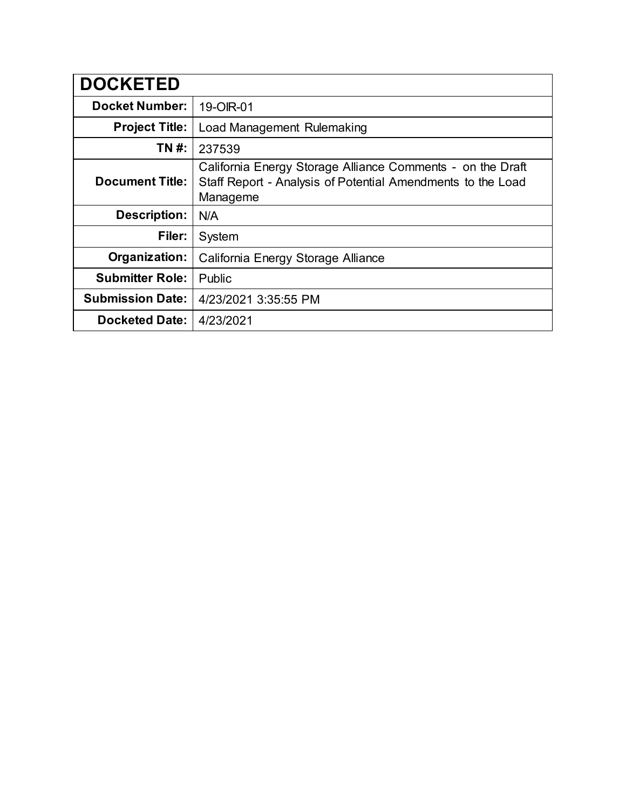| <b>DOCKETED</b>         |                                                                                                                                       |
|-------------------------|---------------------------------------------------------------------------------------------------------------------------------------|
| <b>Docket Number:</b>   | 19-OIR-01                                                                                                                             |
| <b>Project Title:</b>   | Load Management Rulemaking                                                                                                            |
| TN #:                   | 237539                                                                                                                                |
| <b>Document Title:</b>  | California Energy Storage Alliance Comments - on the Draft<br>Staff Report - Analysis of Potential Amendments to the Load<br>Manageme |
| <b>Description:</b>     | N/A                                                                                                                                   |
| Filer:                  | System                                                                                                                                |
| Organization:           | California Energy Storage Alliance                                                                                                    |
| <b>Submitter Role:</b>  | Public                                                                                                                                |
| <b>Submission Date:</b> | 4/23/2021 3:35:55 PM                                                                                                                  |
| <b>Docketed Date:</b>   | 4/23/2021                                                                                                                             |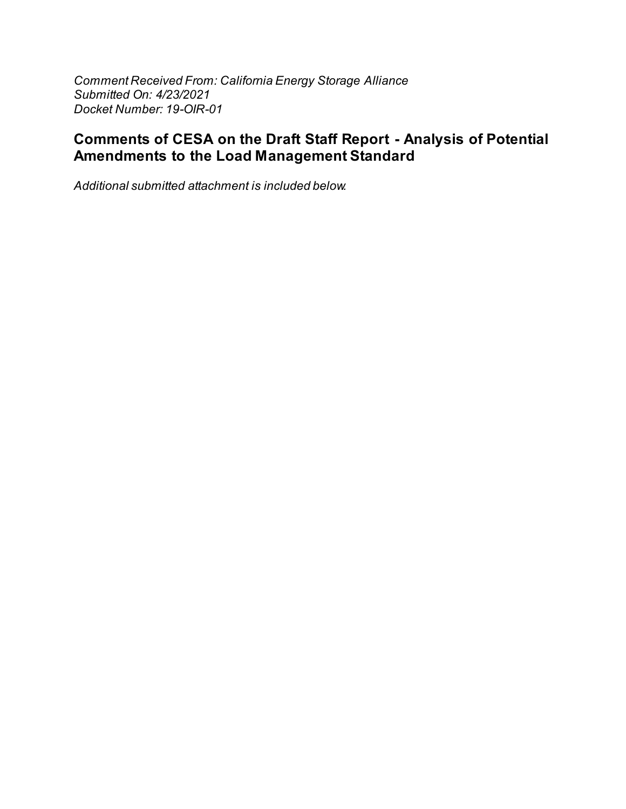Comment Received From: California Energy Storage Alliance Submitted On: 4/23/2021 Docket Number: 19-OIR-01

## **Comments of CESA on the Draft Staff Report - Analysis of Potential Amendments to the Load Management Standard**

Additional submitted attachment is included below.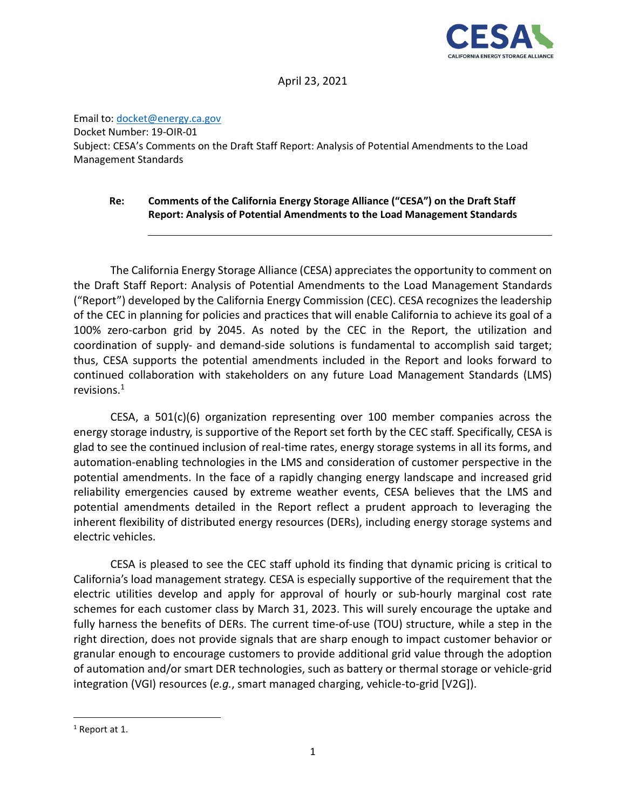

April 23, 2021

Email to: docket@energy.ca.gov Docket Number: 19-OIR-01 Subject: CESA's Comments on the Draft Staff Report: Analysis of Potential Amendments to the Load Management Standards

## **Re: Comments of the California Energy Storage Alliance ("CESA") on the Draft Staff Report: Analysis of Potential Amendments to the Load Management Standards**

The California Energy Storage Alliance (CESA) appreciates the opportunity to comment on the Draft Staff Report: Analysis of Potential Amendments to the Load Management Standards ("Report") developed by the California Energy Commission (CEC). CESA recognizes the leadership of the CEC in planning for policies and practices that will enable California to achieve its goal of a 100% zero-carbon grid by 2045. As noted by the CEC in the Report, the utilization and coordination of supply- and demand-side solutions is fundamental to accomplish said target; thus, CESA supports the potential amendments included in the Report and looks forward to continued collaboration with stakeholders on any future Load Management Standards (LMS) revisions. $1$ 

CESA, a  $501(c)(6)$  organization representing over 100 member companies across the energy storage industry, is supportive of the Report set forth by the CEC staff. Specifically, CESA is glad to see the continued inclusion of real-time rates, energy storage systems in all its forms, and automation-enabling technologies in the LMS and consideration of customer perspective in the potential amendments. In the face of a rapidly changing energy landscape and increased grid reliability emergencies caused by extreme weather events, CESA believes that the LMS and potential amendments detailed in the Report reflect a prudent approach to leveraging the inherent flexibility of distributed energy resources (DERs), including energy storage systems and electric vehicles.

CESA is pleased to see the CEC staff uphold its finding that dynamic pricing is critical to California's load management strategy. CESA is especially supportive of the requirement that the electric utilities develop and apply for approval of hourly or sub-hourly marginal cost rate schemes for each customer class by March 31, 2023. This will surely encourage the uptake and fully harness the benefits of DERs. The current time-of-use (TOU) structure, while a step in the right direction, does not provide signals that are sharp enough to impact customer behavior or granular enough to encourage customers to provide additional grid value through the adoption of automation and/or smart DER technologies, such as battery or thermal storage or vehicle-grid integration (VGI) resources (*e.g.*, smart managed charging, vehicle-to-grid [V2G]).

<sup>&</sup>lt;sup>1</sup> Report at 1.